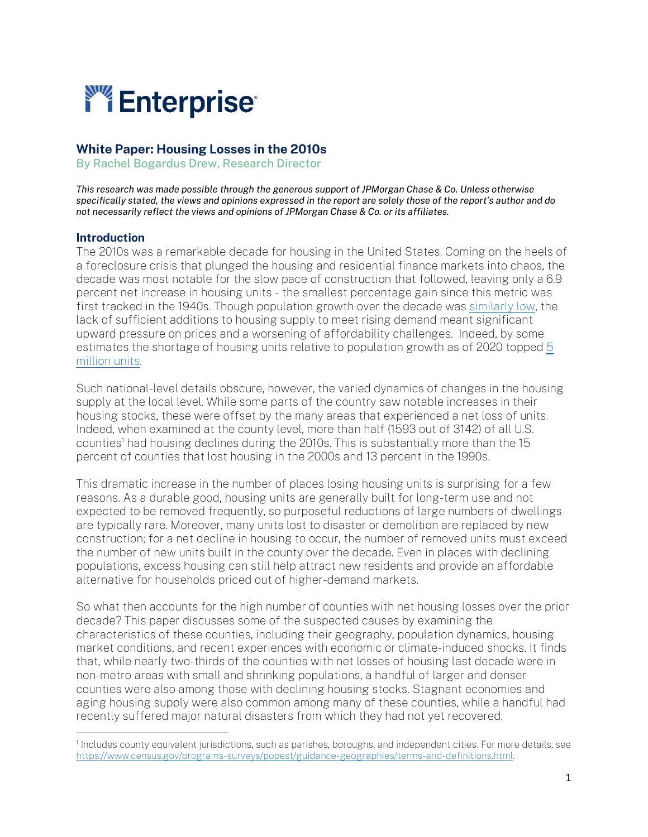

### White Paper: Housing Losses in the 2010s

By Rachel Bogardus Drew, Research Director

*This research was made possible through the generous support of JPMorgan Chase & Co. Unless otherwise specifically stated, the views and opinions expressed in the report are solely those of the report's author and do not necessarily reflect the views and opinions of JPMorgan Chase & Co. or its affiliates.*

#### Introduction

The 2010s was a remarkable decade for housing in the United States. Coming on the heels of a foreclosure crisis that plunged the housing and residential finance markets into chaos, the decade was most notable for the slow pace of construction that followed, leaving only a 6.9 percent net increase in housing units - the smallest percentage gain since this metric was first tracked in the 1940s. Though population growth over the decade was [similarly low,](https://www.brookings.edu/blog/the-avenue/2020/12/22/the-2010s-saw-the-lowest-population-growth-in-u-s-history-new-census-estimates-show/) the lack of sufficient additions to housing supply to meet rising demand meant significant upward pressure on prices and a worsening of affordability challenges. Indeed, by some estimates the shortage of housing units relative to population growth as of 2020 topped [5](https://www.nar.realtor/political-advocacy/housing-is-critical-infrastructure) [million units.](https://www.nar.realtor/political-advocacy/housing-is-critical-infrastructure)

Such national-level details obscure, however, the varied dynamics of changes in the housing supply at the local level. While some parts of the country saw notable increases in their housing stocks, these were offset by the many areas that experienced a net loss of units. Indeed, when examined at the county level, more than half (1593 out of 3142) of all U.S. counties<sup>1</sup> had housing declines during the 2010s. This is substantially more than the 15 percent of counties that lost housing in the 2000s and 13 percent in the 1990s.

This dramatic increase in the number of places losing housing units is surprising for a few reasons. As a durable good, housing units are generally built for long-term use and not expected to be removed frequently, so purposeful reductions of large numbers of dwellings are typically rare. Moreover, many units lost to disaster or demolition are replaced by new construction; for a net decline in housing to occur, the number of removed units must exceed the number of new units built in the county over the decade. Even in places with declining populations, excess housing can still help attract new residents and provide an affordable alternative for households priced out of higher-demand markets.

So what then accounts for the high number of counties with net housing losses over the prior decade? This paper discusses some of the suspected causes by examining the characteristics of these counties, including their geography, population dynamics, housing market conditions, and recent experiences with economic or climate-induced shocks. It finds that, while nearly two-thirds of the counties with net losses of housing last decade were in non-metro areas with small and shrinking populations, a handful of larger and denser counties were also among those with declining housing stocks. Stagnant economies and aging housing supply were also common among many of these counties, while a handful had recently suffered major natural disasters from which they had not yet recovered.

<sup>1</sup> Includes county equivalent jurisdictions, such as parishes, boroughs, and independent cities. For more details, see [https://www.census.gov/programs-surveys/popest/guidance-geographies/terms-and-definitions.html.](https://www.census.gov/programs-surveys/popest/guidance-geographies/terms-and-definitions.html)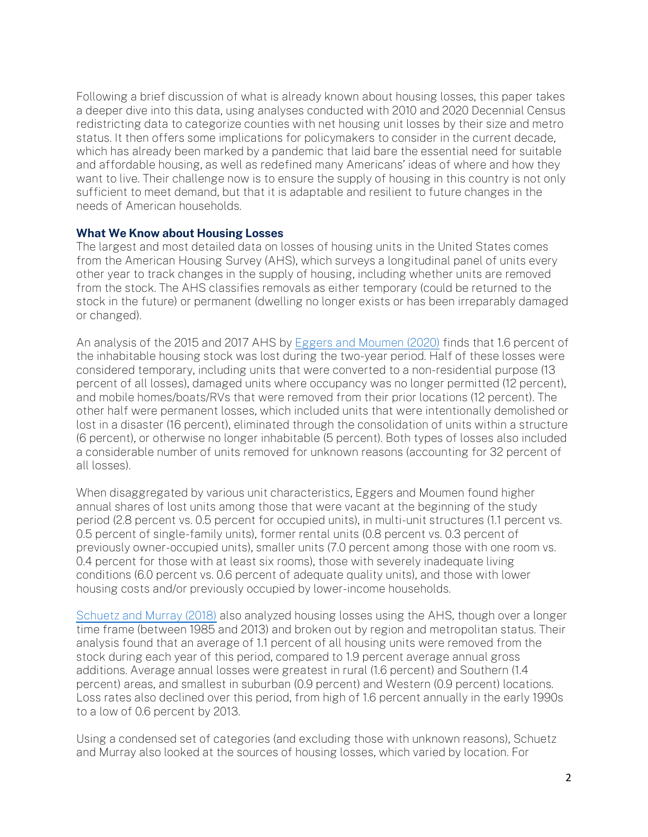Following a brief discussion of what is already known about housing losses, this paper takes a deeper dive into this data, using analyses conducted with 2010 and 2020 Decennial Census redistricting data to categorize counties with net housing unit losses by their size and metro status. It then offers some implications for policymakers to consider in the current decade, which has already been marked by a pandemic that laid bare the essential need for suitable and affordable housing, as well as redefined many Americans' ideas of where and how they want to live. Their challenge now is to ensure the supply of housing in this country is not only sufficient to meet demand, but that it is adaptable and resilient to future changes in the needs of American households.

#### What We Know about Housing Losses

The largest and most detailed data on losses of housing units in the United States comes from the American Housing Survey (AHS), which surveys a longitudinal panel of units every other year to track changes in the supply of housing, including whether units are removed from the stock. The AHS classifies removals as either temporary (could be returned to the stock in the future) or permanent (dwelling no longer exists or has been irreparably damaged or changed).

An analysis of the 2015 and 2017 AHS b[y Eggers and Moumen \(2020\)](https://www.huduser.gov/portal/datasets/cinch/cinch15/National-Report.pdf) finds that 1.6 percent of the inhabitable housing stock was lost during the two-year period. Half of these losses were considered temporary, including units that were converted to a non-residential purpose (13 percent of all losses), damaged units where occupancy was no longer permitted (12 percent), and mobile homes/boats/RVs that were removed from their prior locations (12 percent). The other half were permanent losses, which included units that were intentionally demolished or lost in a disaster (16 percent), eliminated through the consolidation of units within a structure (6 percent), or otherwise no longer inhabitable (5 percent). Both types of losses also included a considerable number of units removed for unknown reasons (accounting for 32 percent of all losses).

When disaggregated by various unit characteristics, Eggers and Moumen found higher annual shares of lost units among those that were vacant at the beginning of the study period (2.8 percent vs. 0.5 percent for occupied units), in multi-unit structures (1.1 percent vs. 0.5 percent of single-family units), former rental units (0.8 percent vs. 0.3 percent of previously owner-occupied units), smaller units (7.0 percent among those with one room vs. 0.4 percent for those with at least six rooms), those with severely inadequate living conditions (6.0 percent vs. 0.6 percent of adequate quality units), and those with lower housing costs and/or previously occupied by lower-income households.

[Schuetz and Murray \(2018\)](https://www.brookings.edu/research/unpacking-the-housing-shortage-puzzle) also analyzed housing losses using the AHS, though over a longer time frame (between 1985 and 2013) and broken out by region and metropolitan status. Their analysis found that an average of 1.1 percent of all housing units were removed from the stock during each year of this period, compared to 1.9 percent average annual gross additions. Average annual losses were greatest in rural (1.6 percent) and Southern (1.4 percent) areas, and smallest in suburban (0.9 percent) and Western (0.9 percent) locations. Loss rates also declined over this period, from high of 1.6 percent annually in the early 1990s to a low of 0.6 percent by 2013.

Using a condensed set of categories (and excluding those with unknown reasons), Schuetz and Murray also looked at the sources of housing losses, which varied by location. For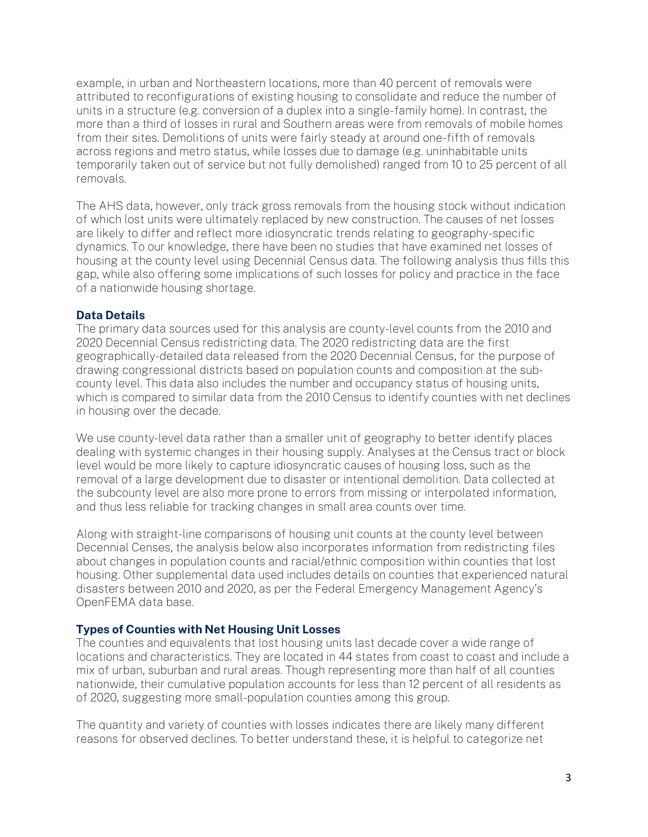example, in urban and Northeastern locations, more than 40 percent of removals were attributed to reconfigurations of existing housing to consolidate and reduce the number of units in a structure (e.g. conversion of a duplex into a single-family home). In contrast, the more than a third of losses in rural and Southern areas were from removals of mobile homes from their sites. Demolitions of units were fairly steady at around one-fifth of removals across regions and metro status, while losses due to damage (e.g. uninhabitable units temporarily taken out of service but not fully demolished) ranged from 10 to 25 percent of all removals.

The AHS data, however, only track gross removals from the housing stock without indication of which lost units were ultimately replaced by new construction. The causes of net losses are likely to differ and reflect more idiosyncratic trends relating to geography-specific dynamics. To our knowledge, there have been no studies that have examined net losses of housing at the county level using Decennial Census data. The following analysis thus fills this gap, while also offering some implications of such losses for policy and practice in the face of a nationwide housing shortage.

### Data Details

The primary data sources used for this analysis are county-level counts from the 2010 and 2020 Decennial Census redistricting data. The 2020 redistricting data are the first geographically-detailed data released from the 2020 Decennial Census, for the purpose of drawing congressional districts based on population counts and composition at the subcounty level. This data also includes the number and occupancy status of housing units, which is compared to similar data from the 2010 Census to identify counties with net declines in housing over the decade.

We use county-level data rather than a smaller unit of geography to better identify places dealing with systemic changes in their housing supply. Analyses at the Census tract or block level would be more likely to capture idiosyncratic causes of housing loss, such as the removal of a large development due to disaster or intentional demolition. Data collected at the subcounty level are also more prone to errors from missing or interpolated information, and thus less reliable for tracking changes in small area counts over time.

Along with straight-line comparisons of housing unit counts at the county level between Decennial Censes, the analysis below also incorporates information from redistricting files about changes in population counts and racial/ethnic composition within counties that lost housing. Other supplemental data used includes details on counties that experienced natural disasters between 2010 and 2020, as per the Federal Emergency Management Agency's OpenFEMA data base.

## Types of Counties with Net Housing Unit Losses

The counties and equivalents that lost housing units last decade cover a wide range of locations and characteristics. They are located in 44 states from coast to coast and include a mix of urban, suburban and rural areas. Though representing more than half of all counties nationwide, their cumulative population accounts for less than 12 percent of all residents as of 2020, suggesting more small-population counties among this group.

The quantity and variety of counties with losses indicates there are likely many different reasons for observed declines. To better understand these, it is helpful to categorize net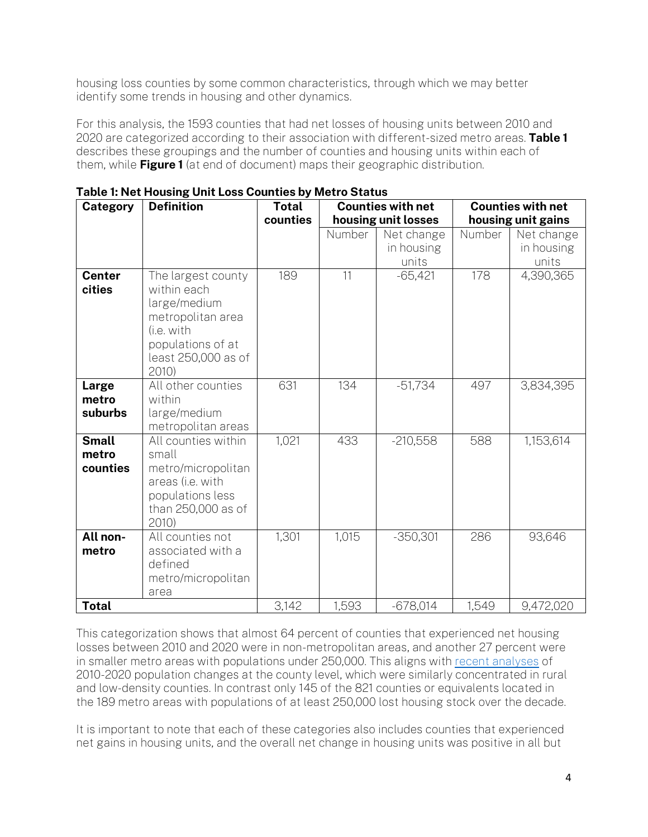housing loss counties by some common characteristics, through which we may better identify some trends in housing and other dynamics.

For this analysis, the 1593 counties that had net losses of housing units between 2010 and 2020 are categorized according to their association with different-sized metro areas. Table 1 describes these groupings and the number of counties and housing units within each of them, while **Figure 1** (at end of document) maps their geographic distribution.

| Category                | <b>Definition</b>                                                                                                                         | <b>Total</b> |        | <b>Counties with net</b> | <b>Counties with net</b> |            |
|-------------------------|-------------------------------------------------------------------------------------------------------------------------------------------|--------------|--------|--------------------------|--------------------------|------------|
|                         |                                                                                                                                           | counties     |        | housing unit losses      | housing unit gains       |            |
|                         |                                                                                                                                           |              | Number | Net change               | Number                   | Net change |
|                         |                                                                                                                                           |              |        | in housing               |                          | in housing |
|                         |                                                                                                                                           |              |        | units                    |                          | units      |
| <b>Center</b><br>cities | The largest county<br>within each<br>large/medium<br>metropolitan area<br>(i.e. with<br>populations of at<br>least 250,000 as of<br>2010) | 189          | 11     | $-65,421$                | 178                      | 4,390,365  |
| Large                   | All other counties                                                                                                                        | 631          | 134    | $-51,734$                | 497                      | 3,834,395  |
| metro                   | within                                                                                                                                    |              |        |                          |                          |            |
| suburbs                 | large/medium                                                                                                                              |              |        |                          |                          |            |
|                         | metropolitan areas                                                                                                                        |              |        |                          |                          |            |
| <b>Small</b>            | All counties within                                                                                                                       | 1,021        | 433    | $-210,558$               | 588                      | 1,153,614  |
| metro                   | small                                                                                                                                     |              |        |                          |                          |            |
| counties                | metro/micropolitan<br>areas (i.e. with                                                                                                    |              |        |                          |                          |            |
|                         | populations less                                                                                                                          |              |        |                          |                          |            |
|                         | than 250,000 as of                                                                                                                        |              |        |                          |                          |            |
|                         | 2010                                                                                                                                      |              |        |                          |                          |            |
| All non-                | All counties not                                                                                                                          | 1,301        | 1,015  | $-350,301$               | 286                      | 93,646     |
| metro                   | associated with a                                                                                                                         |              |        |                          |                          |            |
|                         | defined                                                                                                                                   |              |        |                          |                          |            |
|                         | metro/micropolitan                                                                                                                        |              |        |                          |                          |            |
|                         | area                                                                                                                                      |              |        |                          |                          |            |
| <b>Total</b>            |                                                                                                                                           | 3,142        | 1,593  | $-678,014$               | 1,549                    | 9,472,020  |

This categorization shows that almost 64 percent of counties that experienced net housing losses between 2010 and 2020 were in non-metropolitan areas, and another 27 percent were in smaller metro areas with populations under 250,000. This aligns with [recent analyses](https://www.census.gov/library/stories/2021/08/more-than-half-of-united-states-counties-were-smaller-in-2020-than-in-2010.html) of 2010-2020 population changes at the county level, which were similarly concentrated in rural and low-density counties. In contrast only 145 of the 821 counties or equivalents located in the 189 metro areas with populations of at least 250,000 lost housing stock over the decade.

It is important to note that each of these categories also includes counties that experienced net gains in housing units, and the overall net change in housing units was positive in all but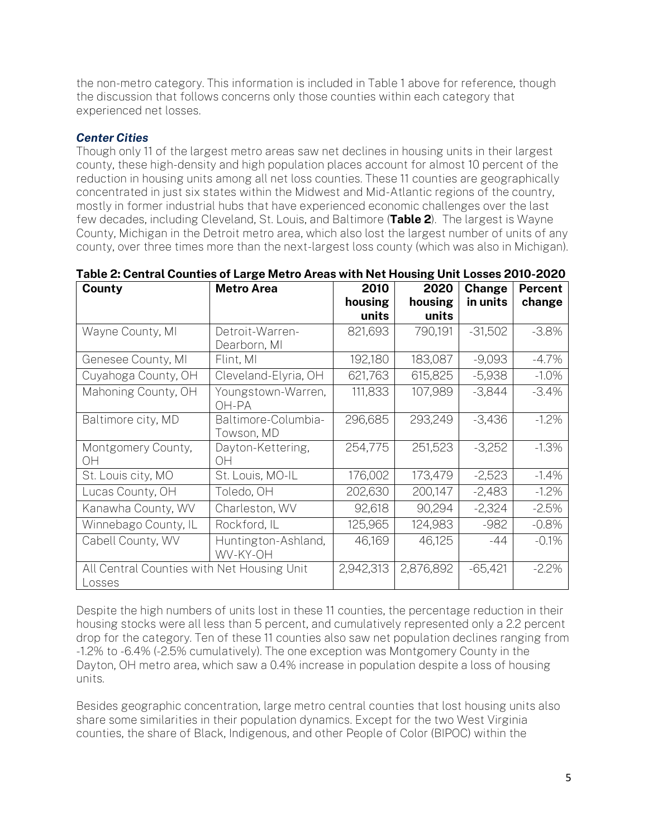the non-metro category. This information is included in Table 1 above for reference, though the discussion that follows concerns only those counties within each category that experienced net losses.

# *Center Cities*

Though only 11 of the largest metro areas saw net declines in housing units in their largest county, these high-density and high population places account for almost 10 percent of the reduction in housing units among all net loss counties. These 11 counties are geographically concentrated in just six states within the Midwest and Mid-Atlantic regions of the country, mostly in former industrial hubs that have experienced economic challenges over the last few decades, including Cleveland, St. Louis, and Baltimore (Table 2). The largest is Wayne County, Michigan in the Detroit metro area, which also lost the largest number of units of any county, over three times more than the next-largest loss county (which was also in Michigan).

| County                                               | <b>Metro Area</b>                 | 2010      | 2020      | Change    | <b>Percent</b> |
|------------------------------------------------------|-----------------------------------|-----------|-----------|-----------|----------------|
|                                                      |                                   | housing   | housing   | in units  | change         |
|                                                      |                                   | units     | units     |           |                |
| Wayne County, MI                                     | Detroit-Warren-                   | 821,693   | 790,191   | $-31,502$ | $-3.8\%$       |
|                                                      | Dearborn, MI                      |           |           |           |                |
| Genesee County, MI                                   | Flint, MI                         | 192,180   | 183,087   | $-9,093$  | $-4.7\%$       |
| Cuyahoga County, OH                                  | Cleveland-Elyria, OH              | 621,763   | 615,825   | $-5,938$  | $-1.0\%$       |
| Mahoning County, OH                                  | Youngstown-Warren,<br>OH-PA       | 111,833   | 107,989   | $-3,844$  | $-3.4%$        |
| Baltimore city, MD                                   | Baltimore-Columbia-<br>Towson, MD | 296,685   | 293,249   | $-3,436$  | $-1.2\%$       |
| Montgomery County,<br>ΟH                             | Dayton-Kettering,<br>OН           | 254,775   | 251,523   | $-3,252$  | $-1.3%$        |
| St. Louis city, MO                                   | St. Louis, MO-IL                  | 176,002   | 173,479   | $-2,523$  | $-1.4%$        |
| Lucas County, OH                                     | Toledo, OH                        | 202,630   | 200,147   | $-2,483$  | $-1.2\%$       |
| Kanawha County, WV                                   | Charleston, WV                    | 92,618    | 90,294    | $-2,324$  | $-2.5%$        |
| Winnebago County, IL                                 | Rockford, IL                      | 125,965   | 124,983   | $-982$    | $-0.8%$        |
| Cabell County, WV                                    | Huntington-Ashland,<br>WV-KY-OH   | 46,169    | 46,125    | $-44$     | $-0.1\%$       |
| All Central Counties with Net Housing Unit<br>Losses |                                   | 2,942,313 | 2,876,892 | $-65,421$ | $-2.2\%$       |

| Table 2: Central Counties of Large Metro Areas with Net Housing Unit Losses 2010-2020 |  |
|---------------------------------------------------------------------------------------|--|
|---------------------------------------------------------------------------------------|--|

Despite the high numbers of units lost in these 11 counties, the percentage reduction in their housing stocks were all less than 5 percent, and cumulatively represented only a 2.2 percent drop for the category. Ten of these 11 counties also saw net population declines ranging from -1.2% to -6.4% (-2.5% cumulatively). The one exception was Montgomery County in the Dayton, OH metro area, which saw a 0.4% increase in population despite a loss of housing units.

Besides geographic concentration, large metro central counties that lost housing units also share some similarities in their population dynamics. Except for the two West Virginia counties, the share of Black, Indigenous, and other People of Color (BIPOC) within the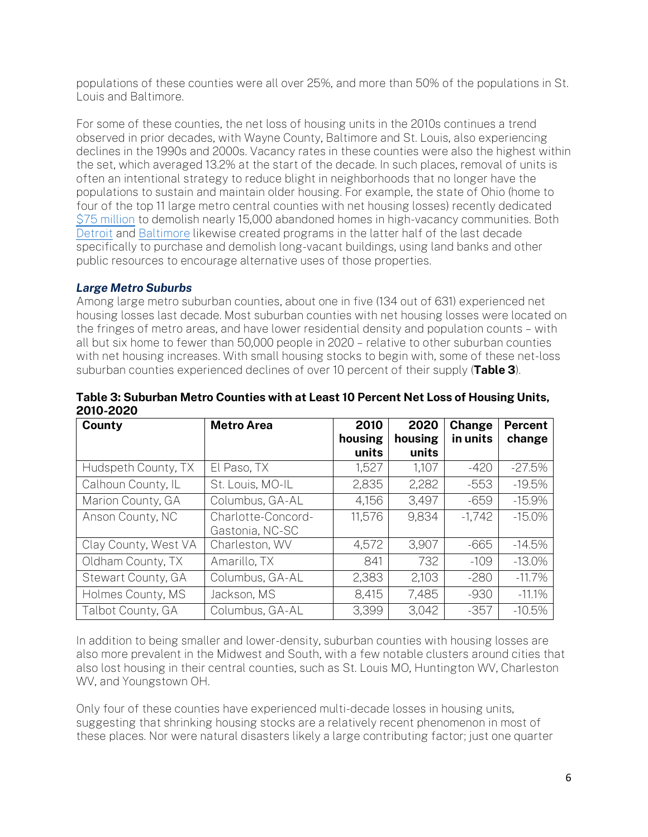populations of these counties were all over 25%, and more than 50% of the populations in St. Louis and Baltimore.

For some of these counties, the net loss of housing units in the 2010s continues a trend observed in prior decades, with Wayne County, Baltimore and St. Louis, also experiencing declines in the 1990s and 2000s. Vacancy rates in these counties were also the highest within the set, which averaged 13.2% at the start of the decade. In such places, removal of units is often an intentional strategy to reduce blight in neighborhoods that no longer have the populations to sustain and maintain older housing. For example, the state of Ohio (home to four of the top 11 large metro central counties with net housing losses) recently dedicated [\\$75 million](https://www.springfieldnewssun.com/news/local/75m-grant-used-demolish-more-than-000-ohio-properties/7S7pakUampiDrhR3HxHOTJ/) to demolish nearly 15,000 abandoned homes in high-vacancy communities. Both [Detroit](https://buildingdetroit.org/overview) and [Baltimore](https://www.baltimoresun.com/politics/bs-md-ci-vacants-demolition-progress-20191018-mw3cb5vlbjb4dmnxlbjvjg7tdy-story.html) likewise created programs in the latter half of the last decade specifically to purchase and demolish long-vacant buildings, using land banks and other public resources to encourage alternative uses of those properties.

# *Large Metro Suburbs*

Among large metro suburban counties, about one in five (134 out of 631) experienced net housing losses last decade. Most suburban counties with net housing losses were located on the fringes of metro areas, and have lower residential density and population counts – with all but six home to fewer than 50,000 people in 2020 – relative to other suburban counties with net housing increases. With small housing stocks to begin with, some of these net-loss suburban counties experienced declines of over 10 percent of their supply (Table 3).

| County               | <b>Metro Area</b>                     | 2010<br>housing<br>units | 2020<br>housing<br>units | Change<br>in units | <b>Percent</b><br>change |
|----------------------|---------------------------------------|--------------------------|--------------------------|--------------------|--------------------------|
| Hudspeth County, TX  | El Paso, TX                           | 1,527                    | 1,107                    | $-420$             | $-27.5%$                 |
| Calhoun County, IL   | St. Louis, MO-IL                      | 2,835                    | 2,282                    | $-553$             | $-19.5%$                 |
| Marion County, GA    | Columbus, GA-AL                       | 4,156                    | 3,497                    | $-659$             | $-15.9%$                 |
| Anson County, NC     | Charlotte-Concord-<br>Gastonia, NC-SC | 11,576                   | 9,834                    | $-1,742$           | $-15.0%$                 |
| Clay County, West VA | Charleston, WV                        | 4,572                    | 3.907                    | $-665$             | $-14.5%$                 |
| Oldham County, TX    | Amarillo, TX                          | 841                      | 732                      | $-109$             | $-13.0\%$                |
| Stewart County, GA   | Columbus, GA-AL                       | 2,383                    | 2,103                    | $-280$             | $-11.7%$                 |
| Holmes County, MS    | Jackson, MS                           | 8.415                    | 7,485                    | $-930$             | $-11.1%$                 |
| Talbot County, GA    | Columbus, GA-AL                       | 3,399                    | 3,042                    | $-357$             | $-10.5%$                 |

### Table 3: Suburban Metro Counties with at Least 10 Percent Net Loss of Housing Units, 2010-2020

In addition to being smaller and lower-density, suburban counties with housing losses are also more prevalent in the Midwest and South, with a few notable clusters around cities that also lost housing in their central counties, such as St. Louis MO, Huntington WV, Charleston WV, and Youngstown OH.

Only four of these counties have experienced multi-decade losses in housing units, suggesting that shrinking housing stocks are a relatively recent phenomenon in most of these places. Nor were natural disasters likely a large contributing factor; just one quarter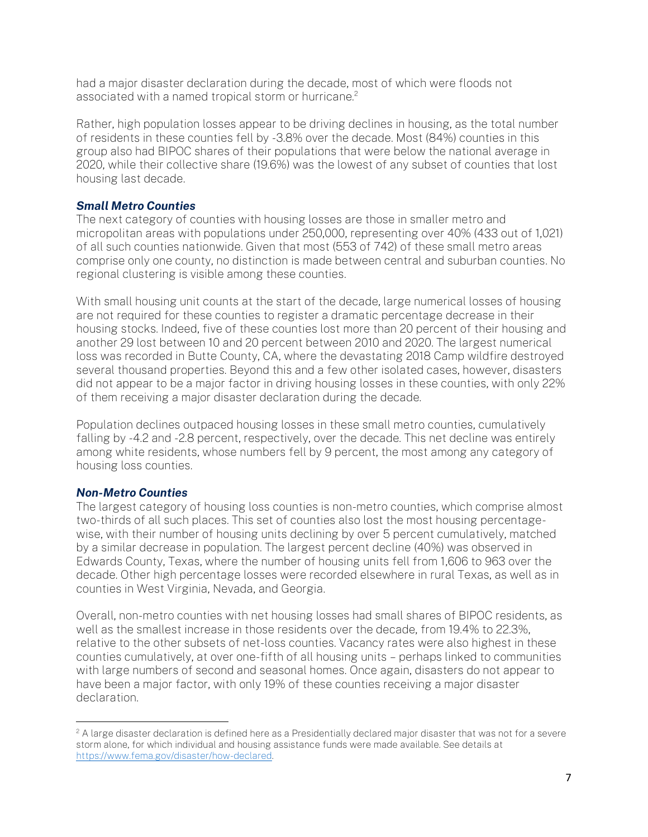had a major disaster declaration during the decade, most of which were floods not associated with a named tropical storm or hurricane.<sup>2</sup>

Rather, high population losses appear to be driving declines in housing, as the total number of residents in these counties fell by -3.8% over the decade. Most (84%) counties in this group also had BIPOC shares of their populations that were below the national average in 2020, while their collective share (19.6%) was the lowest of any subset of counties that lost housing last decade.

## *Small Metro Counties*

The next category of counties with housing losses are those in smaller metro and micropolitan areas with populations under 250,000, representing over 40% (433 out of 1,021) of all such counties nationwide. Given that most (553 of 742) of these small metro areas comprise only one county, no distinction is made between central and suburban counties. No regional clustering is visible among these counties.

With small housing unit counts at the start of the decade, large numerical losses of housing are not required for these counties to register a dramatic percentage decrease in their housing stocks. Indeed, five of these counties lost more than 20 percent of their housing and another 29 lost between 10 and 20 percent between 2010 and 2020. The largest numerical loss was recorded in Butte County, CA, where the devastating 2018 Camp wildfire destroyed several thousand properties. Beyond this and a few other isolated cases, however, disasters did not appear to be a major factor in driving housing losses in these counties, with only 22% of them receiving a major disaster declaration during the decade.

Population declines outpaced housing losses in these small metro counties, cumulatively falling by -4.2 and -2.8 percent, respectively, over the decade. This net decline was entirely among white residents, whose numbers fell by 9 percent, the most among any category of housing loss counties.

### *Non-Metro Counties*

The largest category of housing loss counties is non-metro counties, which comprise almost two-thirds of all such places. This set of counties also lost the most housing percentagewise, with their number of housing units declining by over 5 percent cumulatively, matched by a similar decrease in population. The largest percent decline (40%) was observed in Edwards County, Texas, where the number of housing units fell from 1,606 to 963 over the decade. Other high percentage losses were recorded elsewhere in rural Texas, as well as in counties in West Virginia, Nevada, and Georgia.

Overall, non-metro counties with net housing losses had small shares of BIPOC residents, as well as the smallest increase in those residents over the decade, from 19.4% to 22.3%, relative to the other subsets of net-loss counties. Vacancy rates were also highest in these counties cumulatively, at over one-fifth of all housing units – perhaps linked to communities with large numbers of second and seasonal homes. Once again, disasters do not appear to have been a major factor, with only 19% of these counties receiving a major disaster declaration.

<sup>&</sup>lt;sup>2</sup> A large disaster declaration is defined here as a Presidentially declared major disaster that was not for a severe storm alone, for which individual and housing assistance funds were made available. See details at [https://www.fema.gov/disaster/how-declared.](https://www.fema.gov/disaster/how-declared)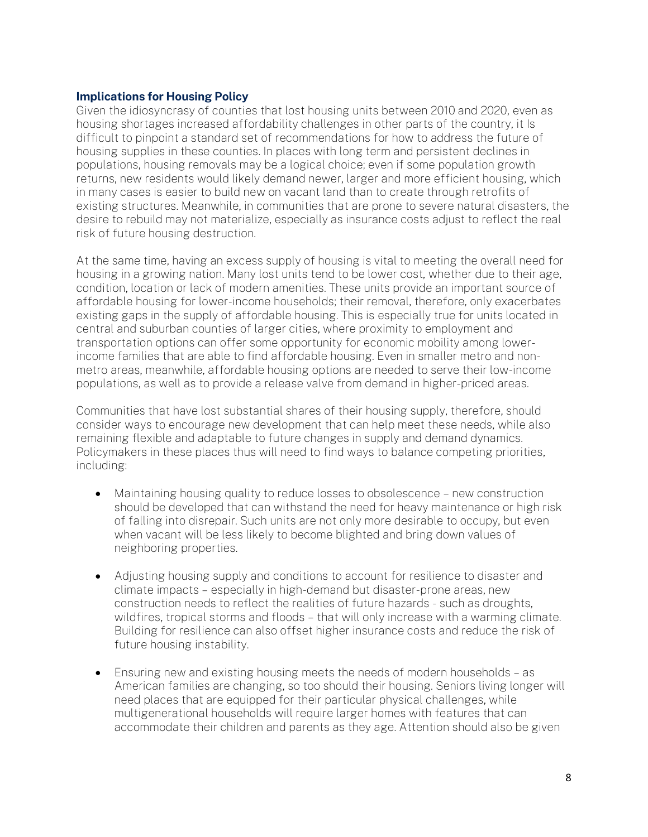### Implications for Housing Policy

Given the idiosyncrasy of counties that lost housing units between 2010 and 2020, even as housing shortages increased affordability challenges in other parts of the country, it Is difficult to pinpoint a standard set of recommendations for how to address the future of housing supplies in these counties. In places with long term and persistent declines in populations, housing removals may be a logical choice; even if some population growth returns, new residents would likely demand newer, larger and more efficient housing, which in many cases is easier to build new on vacant land than to create through retrofits of existing structures. Meanwhile, in communities that are prone to severe natural disasters, the desire to rebuild may not materialize, especially as insurance costs adjust to reflect the real risk of future housing destruction.

At the same time, having an excess supply of housing is vital to meeting the overall need for housing in a growing nation. Many lost units tend to be lower cost, whether due to their age, condition, location or lack of modern amenities. These units provide an important source of affordable housing for lower-income households; their removal, therefore, only exacerbates existing gaps in the supply of affordable housing. This is especially true for units located in central and suburban counties of larger cities, where proximity to employment and transportation options can offer some opportunity for economic mobility among lowerincome families that are able to find affordable housing. Even in smaller metro and nonmetro areas, meanwhile, affordable housing options are needed to serve their low-income populations, as well as to provide a release valve from demand in higher-priced areas.

Communities that have lost substantial shares of their housing supply, therefore, should consider ways to encourage new development that can help meet these needs, while also remaining flexible and adaptable to future changes in supply and demand dynamics. Policymakers in these places thus will need to find ways to balance competing priorities, including:

- Maintaining housing quality to reduce losses to obsolescence new construction should be developed that can withstand the need for heavy maintenance or high risk of falling into disrepair. Such units are not only more desirable to occupy, but even when vacant will be less likely to become blighted and bring down values of neighboring properties.
- Adjusting housing supply and conditions to account for resilience to disaster and climate impacts – especially in high-demand but disaster-prone areas, new construction needs to reflect the realities of future hazards - such as droughts, wildfires, tropical storms and floods – that will only increase with a warming climate. Building for resilience can also offset higher insurance costs and reduce the risk of future housing instability.
- Ensuring new and existing housing meets the needs of modern households as American families are changing, so too should their housing. Seniors living longer will need places that are equipped for their particular physical challenges, while multigenerational households will require larger homes with features that can accommodate their children and parents as they age. Attention should also be given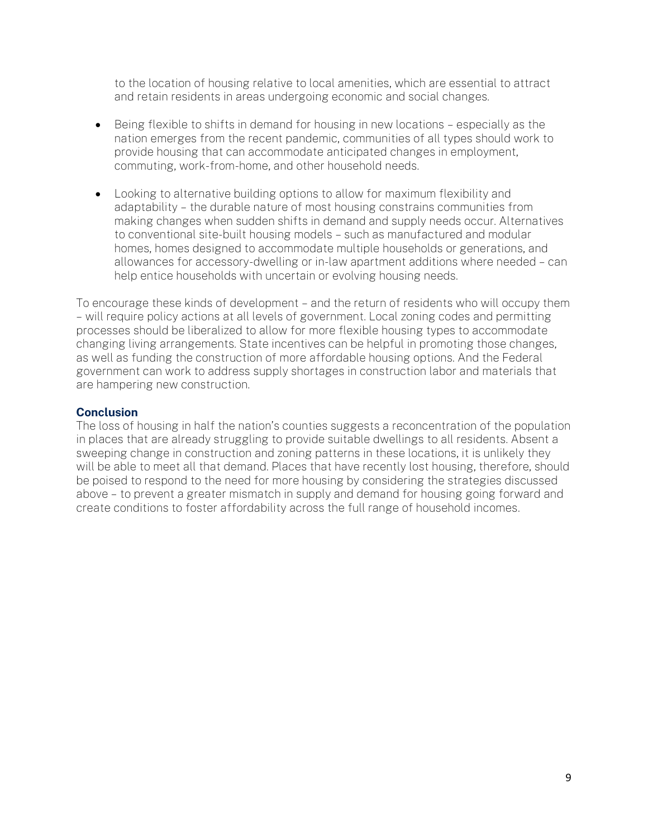to the location of housing relative to local amenities, which are essential to attract and retain residents in areas undergoing economic and social changes.

- Being flexible to shifts in demand for housing in new locations especially as the nation emerges from the recent pandemic, communities of all types should work to provide housing that can accommodate anticipated changes in employment, commuting, work-from-home, and other household needs.
- Looking to alternative building options to allow for maximum flexibility and adaptability – the durable nature of most housing constrains communities from making changes when sudden shifts in demand and supply needs occur. Alternatives to conventional site-built housing models – such as manufactured and modular homes, homes designed to accommodate multiple households or generations, and allowances for accessory-dwelling or in-law apartment additions where needed – can help entice households with uncertain or evolving housing needs.

To encourage these kinds of development – and the return of residents who will occupy them – will require policy actions at all levels of government. Local zoning codes and permitting processes should be liberalized to allow for more flexible housing types to accommodate changing living arrangements. State incentives can be helpful in promoting those changes, as well as funding the construction of more affordable housing options. And the Federal government can work to address supply shortages in construction labor and materials that are hampering new construction.

## **Conclusion**

The loss of housing in half the nation's counties suggests a reconcentration of the population in places that are already struggling to provide suitable dwellings to all residents. Absent a sweeping change in construction and zoning patterns in these locations, it is unlikely they will be able to meet all that demand. Places that have recently lost housing, therefore, should be poised to respond to the need for more housing by considering the strategies discussed above – to prevent a greater mismatch in supply and demand for housing going forward and create conditions to foster affordability across the full range of household incomes.